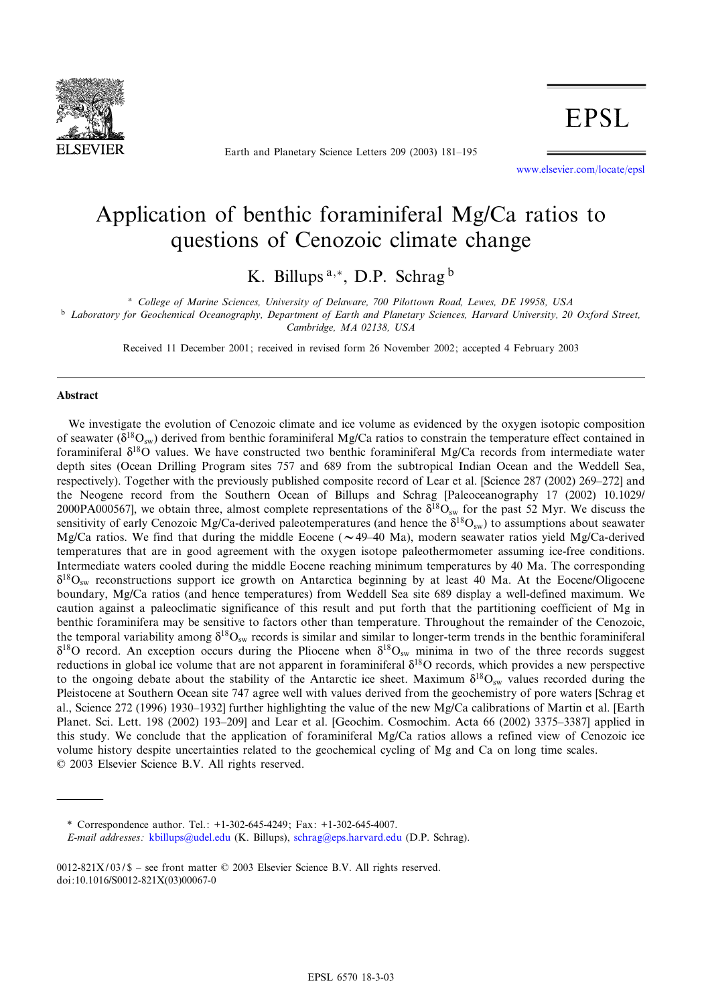

Earth and Planetary Science Letters 209 (2003) 181^195

www.elsevier.com/locate/epsl

# Application of benthic foraminiferal Mg/Ca ratios to questions of Cenozoic climate change

K. Billups<sup>a,\*</sup>, D.P. Schrag<sup>b</sup>

<sup>a</sup> College of Marine Sciences, University of Delaware, 700 Pilottown Road, Lewes, DE 19958, USA <sup>b</sup> Laboratory for Geochemical Oceanography, Department of Earth and Planetary Sciences, Harvard University, 20 Oxford Street, Cambridge, MA 02138, USA

Received 11 December 2001; received in revised form 26 November 2002; accepted 4 February 2003

#### Abstract

We investigate the evolution of Cenozoic climate and ice volume as evidenced by the oxygen isotopic composition of seawater ( $\delta^{18}O_{\text{sw}}$ ) derived from benthic foraminiferal Mg/Ca ratios to constrain the temperature effect contained in foraminiferal  $\delta^{18}$ O values. We have constructed two benthic foraminiferal Mg/Ca records from intermediate water depth sites (Ocean Drilling Program sites 757 and 689 from the subtropical Indian Ocean and the Weddell Sea, respectively). Together with the previously published composite record of Lear et al. [Science 287 (2002) 269–272] and the Neogene record from the Southern Ocean of Billups and Schrag [Paleoceanography 17 (2002) 10.1029/ 2000PA000567], we obtain three, almost complete representations of the  $\delta^{18}O_{\rm sw}$  for the past 52 Myr. We discuss the sensitivity of early Cenozoic Mg/Ca-derived paleotemperatures (and hence the  $\delta^{18}O_{sw}$ ) to assumptions about seawater Mg/Ca ratios. We find that during the middle Eocene ( $\sim$  49-40 Ma), modern seawater ratios yield Mg/Ca-derived temperatures that are in good agreement with the oxygen isotope paleothermometer assuming ice-free conditions. Intermediate waters cooled during the middle Eocene reaching minimum temperatures by 40 Ma. The corresponding  $\delta^{18}O_{\text{sw}}$  reconstructions support ice growth on Antarctica beginning by at least 40 Ma. At the Eocene/Oligocene boundary, Mg/Ca ratios (and hence temperatures) from Weddell Sea site 689 display a well-defined maximum. We caution against a paleoclimatic significance of this result and put forth that the partitioning coefficient of Mg in benthic foraminifera may be sensitive to factors other than temperature. Throughout the remainder of the Cenozoic, the temporal variability among  $\delta^{18}O_{\text{sw}}$  records is similar and similar to longer-term trends in the benthic foraminiferal  $\delta^{18}$ O record. An exception occurs during the Pliocene when  $\delta^{18}$ O<sub>sw</sub> minima in two of the three records suggest reductions in global ice volume that are not apparent in foraminiferal  $\delta^{18}$ O records, which provides a new perspective to the ongoing debate about the stability of the Antarctic ice sheet. Maximum  $\delta^{18}O_{\rm sw}$  values recorded during the Pleistocene at Southern Ocean site 747 agree well with values derived from the geochemistry of pore waters [Schrag et al., Science 272 (1996) 1930^1932] further highlighting the value of the new Mg/Ca calibrations of Martin et al. [Earth Planet. Sci. Lett. 198 (2002) 193-209] and Lear et al. [Geochim. Cosmochim. Acta 66 (2002) 3375-3387] applied in this study. We conclude that the application of foraminiferal Mg/Ca ratios allows a refined view of Cenozoic ice volume history despite uncertainties related to the geochemical cycling of Mg and Ca on long time scales.  $© 2003 Elsevier Science B.V. All rights reserved.$ 

\* Correspondence author. Tel.: +1-302-645-4249; Fax: +1-302-645-4007.

E-mail addresses: kbillups@udel.edu (K. Billups), schrag@eps.harvard.edu (D.P. Schrag).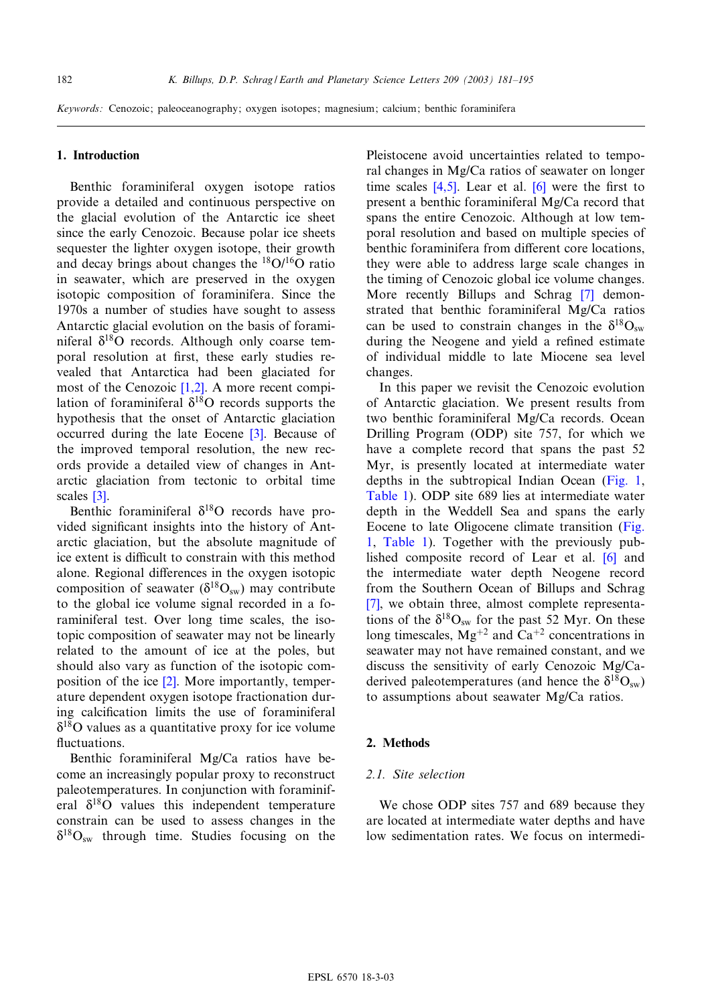## 1. Introduction

Benthic foraminiferal oxygen isotope ratios provide a detailed and continuous perspective on the glacial evolution of the Antarctic ice sheet since the early Cenozoic. Because polar ice sheets sequester the lighter oxygen isotope, their growth and decay brings about changes the  $^{18}O/^{16}O$  ratio in seawater, which are preserved in the oxygen isotopic composition of foraminifera. Since the 1970s a number of studies have sought to assess Antarctic glacial evolution on the basis of foraminiferal  $\delta^{18}$ O records. Although only coarse temporal resolution at first, these early studies revealed that Antarctica had been glaciated for most of the Cenozoic [1,2]. A more recent compilation of foraminiferal  $\delta^{18}$ O recor[ds](#page-12-0) supports the hypothesis that the onset of Antarctic glaciation occurred during the late Eocene [3]. Because of the improved temporal resolution, the new records [pro](#page-12-0)vide a detailed view of changes in Antarctic glaciation from tectonic to orbital time scales [3].

Benthic foraminiferal  $\delta^{18}$ O records have provided significant insights into the history of Antarctic glaciation, but the absolute magnitude of ice extent is difficult to constrain with this method alone. Regional differences in the oxygen isotopic composition of seawater  $(\delta^{18}O_{sw})$  may contribute to the global ice volume signal recorded in a foraminiferal test. Over long time scales, the isotopic composition of seawater may not be linearly related to the am[oun](#page-12-0)t of ice at the poles, but should also vary as function of the isotopic composition of the ice [2]. More importantly, temperature dependent oxygen isotope fractionation during calcification limits the use of foraminiferal  $\delta^{18}$ O values as a quantitative proxy for ice volume fluctuations.

Benthic foraminiferal Mg/Ca ratios have become an increasingly popular proxy to reconstruct paleotemperatures. In conjunction with foraminiferal  $\delta^{18}$ O values this independent temperature constrain can be used to assess changes in the  $\delta^{18}O_{sw}$  through time. Studies focusing on the

Pleistocene [avoid](#page-12-0) uncertainti[es r](#page-13-0)elated to temporal changes in Mg/Ca ratios of seawater on longer time scales  $[4,5]$ . Lear et al.  $[6]$  were the first to present a benthic foraminiferal Mg/Ca record that spans the entire Cenozoic. Although at low temporal resolution and based on multiple species of benthic foraminifera from different core locations, they were able to address large scale [ch](#page-13-0)anges in the timing of Cenozoic global ice volume changes. More recently Billups and Schrag [7] demonstrated that benthic foraminiferal Mg/Ca ratios can be used to constrain changes in the  $\delta^{18}O_{sw}$ during the Neogene and yield a refined estimate of individual middle to late Miocene sea level changes.

In this paper we revisit the Cenozoic evolution of Antarctic glaciation. We present results from two benthic foraminiferal Mg/Ca records. Ocean Drilling Program (ODP) site 757, for which we have a complete record that spans the [past 52](#page-2-0) [Myr, is](#page-2-0) presently located at intermediate water depths in the subtropical Indian Ocean (Fig. 1, Table 1). ODP site 689 lies at intermediate [water](#page-2-0) [d](#page-2-0)e[pth in th](#page-2-0)e Weddell Sea and spans the early Eocene to late Oligocene climate transiti[on](#page-13-0) (Fig. 1, Table 1). Together with the previously published composite record of Lear et al. [6] and [the](#page-13-0) intermediate water depth Neogene record from the Southern Ocean of Billups and Schrag [7], we obtain three, almost complete representations of the  $\delta^{18}O_{sw}$  for the past 52 Myr. On these long timescales,  $Mg^{+2}$  and  $Ca^{+2}$  concentrations in seawater may not have remained constant, and we discuss the sensitivity of early Cenozoic Mg/Caderived paleotemperatures (and hence the  $\delta^{18}O_{sw}$ ) to assumptions about seawater Mg/Ca ratios.

## 2. Methods

## 2.1. Site selection

We chose ODP sites 757 and 689 because they are located at intermediate water depths and have low sedimentation rates. We focus on intermedi-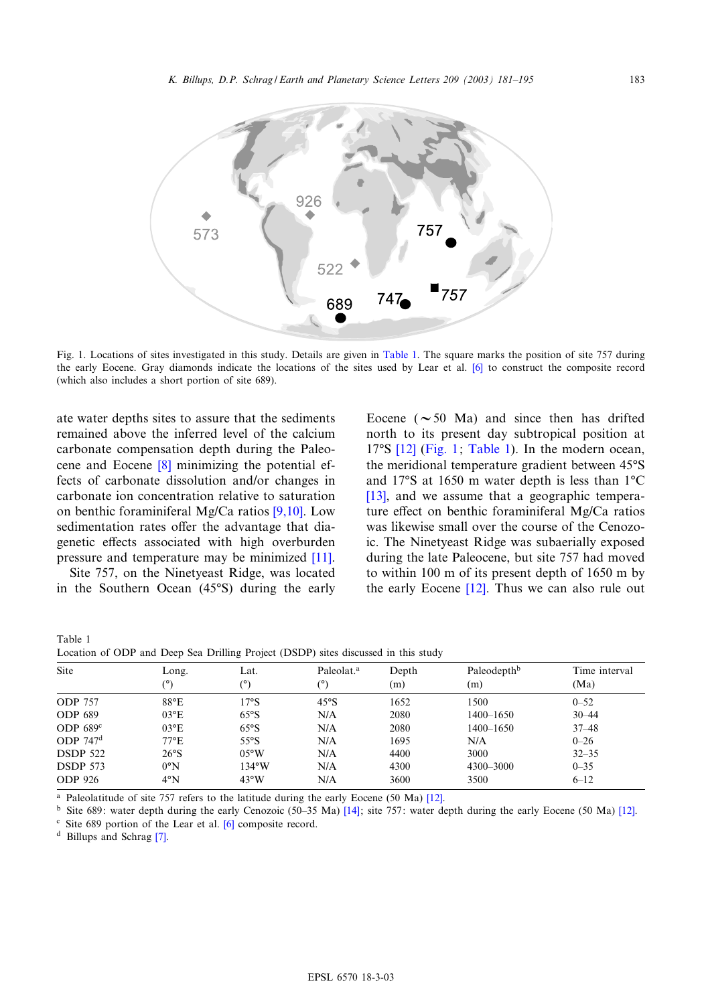<span id="page-2-0"></span>

Fig. 1. Locations of sites investigated in this study. Details are given in Table 1. The square marks the position of site 757 during the early Eocene. Gray diamonds indicate the locations of the sites used by Lear et al. [6] to construct the composite record (which also includes a short portion of site 689).

ate water depths sites to assure that the sediments remained above t[he](#page-13-0) inferred level of the calcium carbonate compensation depth during the Paleocene and Eocene [8] minimizing the potential effects of carbonate dissolution and/or [chang](#page-13-0)es in carbonate ion concentration relative to saturation on benthic foraminiferal Mg/Ca ratios [9,10]. Low sedimentation rates offer the advantage that [dia](#page-13-0)genetic effects associated with high overburden pressure and temperature may be minimized [11].

Site 757, on the Ninetyeast Ridge, was located in the Southern Ocean (45°S) during the early

| Table 1                                                                            |  |  |  |  |  |
|------------------------------------------------------------------------------------|--|--|--|--|--|
| Location of ODP and Deep Sea Drilling Project (DSDP) sites discussed in this study |  |  |  |  |  |

| Site            | Long.<br>(°)  | Lat.<br>(°)     | Paleolat. <sup>a</sup><br>(°) | Depth<br>(m) | Paleodepth <sup>b</sup><br>(m) | Time interval<br>(Ma) |
|-----------------|---------------|-----------------|-------------------------------|--------------|--------------------------------|-----------------------|
| <b>ODP 757</b>  | $88^{\circ}E$ | 17°S            | 45°S                          | 1652         | 1500                           | $0 - 52$              |
| <b>ODP 689</b>  | $03^{\circ}E$ | 65°S            | N/A                           | 2080         | $1400 - 1650$                  | $30 - 44$             |
| ODP $689^\circ$ | $03^{\circ}E$ | 65°S            | N/A                           | 2080         | 1400-1650                      | $37 - 48$             |
| ODP $747d$      | $77^{\circ}E$ | $55^{\circ}$ S  | N/A                           | 1695         | N/A                            | $0 - 26$              |
| <b>DSDP 522</b> | 26°S          | $0.5^{\circ}$ W | N/A                           | 4400         | 3000                           | $32 - 35$             |
| <b>DSDP 573</b> | $0^{\circ}N$  | $134^{\circ}$ W | N/A                           | 4300         | 4300-3000                      | $0 - 35$              |
| <b>ODP</b> 926  | $4^{\circ}N$  | $43^{\circ}W$   | N/A                           | 3600         | 3500                           | $6 - 12$              |

<sup>a</sup> Paleolatitude of site 757 refers to [the](#page-13-0) latitude during the early Eocene (50 Ma) [12].

<sup>b</sup> Site 689: water dep[th](#page-13-0) during the early Cenozoic (50-35 Ma)  $[14]$ ; site 757: water depth during the early Eocene (50 Ma)  $[12]$ .

 $\textdegree$  Site 689 portion of the Lear et al. [6] composite record.

<sup>d</sup> Billups and Schrag [7].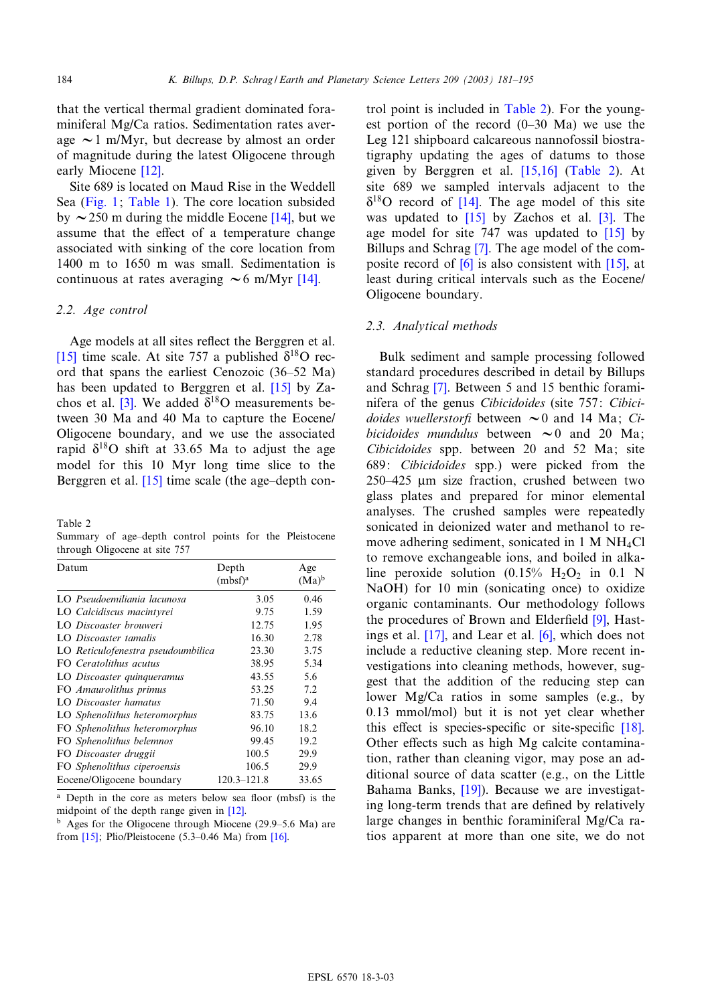that the vertical thermal gradient dominated foraminiferal Mg/Ca ratios. Sedimentation rates average  $\sim$  1 m/My[r, bu](#page-13-0)t decrease by almost an order of magnitude during the latest Oligocene through early [Mioce](#page-2-0)ne [\[12\].](#page-2-0)

Site 689 is located on Maud Rise in [the W](#page-13-0)eddell Sea (Fig. 1; Table 1). The core location subsided by  $\sim$  250 m during the middle Eocene [14], but we assume that the effect of a temperature change associated with sinking of the core locatio[n fr](#page-13-0)om 1400 m to 1650 m was small. Sedimentation is continuous at rates averaging  $\sim 6$  m/Myr [14].

## 2.2. Age control

[A](#page-13-0)ge models at all sites reflect the Berggren et al. [15] time scale. At site 757 a publish[ed](#page-13-0)  $\delta^{18}$ O record that s[pan](#page-12-0)s the earliest Cenozoic (36^52 Ma) has been updated to Berggren et al. [15] by Zachos et al. [3]. We added  $\delta^{18}$ O measurements between 30 Ma and 40 Ma to capture the Eocene/ Oligocene boundary, and we use the associated rapid  $\delta^{18}$ O shi[ft at](#page-13-0) 33.65 Ma to adjust the age model for this 10 Myr long time slice to the Berggren et al.  $[15]$  time scale (the age-depth con-

Table 2

Summary of age-depth control points for the Pleistocene through Oligocene at site 757

| Datum                              | Depth<br>$(mbf)^a$ | Age<br>$(Ma)^b$ |
|------------------------------------|--------------------|-----------------|
| LO Pseudoemiliania lacunosa        | 3.05               | 0.46            |
| LO Calcidiscus macintyrei          | 9.75               | 1.59            |
| LO Discoaster brouweri             | 12.75              | 1.95            |
| LO Discoaster tamalis              | 16.30              | 2.78            |
| LO Reticulofenestra pseudoumbilica | 23.30              | 3.75            |
| FO Ceratolithus acutus             | 38.95              | 5.34            |
| LO Discoaster quinqueramus         | 43.55              | 5.6             |
| FO Amaurolithus primus             | 53.25              | 7.2             |
| LO Discoaster hamatus              | 71.50              | 9.4             |
| LO Sphenolithus heteromorphus      | 83.75              | 13.6            |
| FO Sphenolithus heteromorphus      | 96.10              | 18.2            |
| FO Sphenolithus belemnos           | 99.45              | 19.2            |
| FO Discoaster druggii              | 100.5              | 29.9            |
| FO Sphenolithus ciperoensis        | 106.5              | 29.9            |
| Eocene/Oligocene boundary          | $120.3 - 121.8$    | 33.65           |

Depth in the core as meters below sea floor (mbsf) is the midp[oint](#page-13-0) of the depth range given in [12].

 $<sup>b</sup>$  Ages for the Oligocene through Miocene (29.9–5.6 Ma) are</sup> from  $[15]$ ; Plio/Pleistocene (5.3-0.46 Ma) from  $[16]$ .

trol point is included in Table 2). For the youngest portion of the record  $(0-30$  Ma) we use the Leg 121 shipboard calcareo[us nann](#page-13-0)ofossil biostratigraphy updating the ages of datums to those given by Bergg[ren](#page-13-0) et al. [15,16] (Table 2). At site 689 we sa[mpled](#page-13-0) intervals adjacent [to](#page-12-0) the  $\delta^{18}$ O record of [14]. The age model of t[his](#page-13-0) site was updated to  $[15]$  $[15]$  by Zachos et al.  $[3]$ . The age model for [site](#page-13-0) 747 was updated to [\[15\]](#page-13-0) by Billups and Schrag [7]. The age model of the composite record of [6] is also consistent with [15], at least during critical intervals such as the Eocene/ Oligocene boundary.

#### 2.3. Analytical methods

Bulk sedi[me](#page-13-0)nt and sample processing followed standard procedures described in detail by Billups and Schrag [7]. Between 5 and 15 benthic foraminifera of the genus Cibicidoides (site 757: Cibicidoides wuellerstorfi between  $\sim 0$  and 14 Ma; Cibicidoides mundulus between  $\sim 0$  and 20 Ma; Cibicidoides spp. between 20 and 52 Ma; site 689: Cibicidoides spp.) were picked from the  $250-425$  µm size fraction, crushed between two glass plates and prepared for minor elemental analyses. The crushed samples were repeatedly sonicated in deionized water and methanol to remove adhering sediment, sonicated in 1 M NH4Cl to remove exchangeable ions, and boiled in alkaline peroxide solution  $(0.15\% \text{ H}_2\text{O}_2 \text{ in } 0.1 \text{ N})$ NaOH) for 10 min (sonicating once) t[o o](#page-13-0)xidize organic c[ontam](#page-13-0)inants. Our m[eth](#page-13-0)odology follows the procedures of Brown and Elderfield  $[9]$ , Hastings et al. [17], and Lear et al. [6], which does not include a reductive cleaning step. More recent investigations into cleaning methods, however, suggest that the addition of the reducing step can lower Mg/Ca ratios in some samples (e.g.[, by](#page-13-0) 0.13 mmol/mol) but it is not yet clear whether this effect is species-specific or site-specific  $[18]$ . Other effects such as high Mg calcite contamination, rather than [clea](#page-13-0)ning vigor, may pose an additional source of data scatter (e.g., on the Little Bahama Banks, [19]). Because we are investigating long-term trends that are defined by relatively large changes in benthic foraminiferal Mg/Ca ratios apparent at more than one site, we do not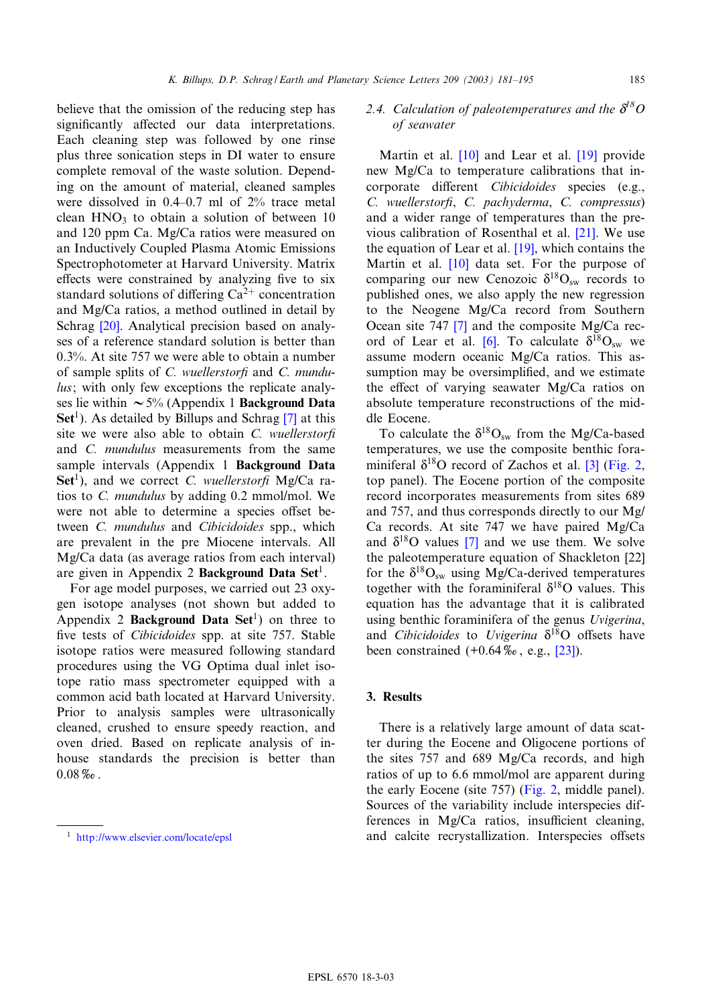believe that the omission of the reducing step has significantly affected our data interpretations. Each cleaning step was followed by one rinse plus three sonication steps in DI water to ensure complete removal of the waste solution. Depending on the amount of material, cleaned samples were dissolved in 0.4-0.7 ml of 2% trace metal clean  $HNO<sub>3</sub>$  to obtain a solution of between 10 and 120 ppm Ca. Mg/Ca ratios were measured on an Inductively Coupled Plasma Atomic Emissions Spectrophotometer at Harvard University. Matrix effects were constrained by analyzing five to six standar[d so](#page-13-0)lutions of differing  $Ca^{2+}$  concentration and Mg/Ca ratios, a method outlined in detail by Schrag [20]. Analytical precision based on analyses of a reference standard solution is better than 0.3%. At site 757 we were able to obtain a number of sample splits of C. wuellerstorfi and C. mundulus; with only few exceptions the replic[ate](#page-13-0) analyses lie within  $\sim 5\%$  (Appendix 1 **Background Data**  $\textbf{Set}^1$ ). As detailed by Billups and Schrag [7] at this site we were also able to obtain  $C$ . *wuellerstorfi* and C. mundulus measurements from the same sample intervals (Appendix 1 Background Data Set<sup>1</sup>), and we correct C. wuellerstorfi Mg/Ca ratios to C. mundulus by adding 0.2 mmol/mol. We were not able to determine a species offset between C. mundulus and Cibicidoides spp., which are prevalent in the pre Miocene intervals. All Mg/Ca data (as average ratios from each interval) are given in Appendix 2 Background Data Set<sup>1</sup>.

For age model purposes, we carried out 23 oxygen isotope analyses (not shown but added to Appendix 2 **Background Data Set**<sup>1</sup>) on three to five tests of *Cibicidoides* spp. at site 757. Stable isotope ratios were measured following standard procedures using the VG Optima dual inlet isotope ratio mass spectrometer equipped with a common acid bath located at Harvard University. Prior to analysis samples were ultrasonically cleaned, crushed to ensure speedy reaction, and oven dried. Based on replicate analysis of inhouse standards the precision is better than  $0.08\%$ .

# 2.4. Calculation of paleotemperatures and the  $\delta^{l8}O$ of seawater

Martin et al. [10] and Lear et al. [19] provide new Mg/Ca to temperature calibrations that incorporate different *Cibicidoides* species (e.g., C. wuellerstorfi, C. pachyderma, C. [com](#page-13-0)pressus) and a wider range of tem[pera](#page-13-0)tures than the previous calibrati[on o](#page-13-0)f Rosenthal et al. [21]. We use the equation of Lear et al.  $[19]$ , which contains the Martin et al. [10] data set. For the purpose of comparing our new Cenozoic  $\delta^{18}O_{sw}$  records to published ones, [w](#page-13-0)e also apply the new regression to the Neogene M[g/C](#page-13-0)a record from Southern Ocean site 747 [7] and the composite Mg/Ca record of Lear et al. [6]. To calculate  $\delta^{18}O_{sw}$  we assume modern oceanic Mg/Ca ratios. This assumption may be oversimplified, and we estimate the effect of varying seawater  $Mg/Ca$  ratios on absolute temperature reconstructions of the middle Eocene.

To calculate the  $\delta^{18}O_{sw}$  from the M[g/C](#page-12-0)[a-based](#page-5-0) temperatures, we use the composite benthic foraminiferal  $\delta^{18}$ O record of Zachos et al. [3] (Fig. 2, top panel). The Eocene portion of the composite record incorporates measurements from sites 689 and 757, and thus [co](#page-13-0)rresponds directly to our Mg/ Ca records. At site 747 we have paired M[g/Ca](#page-13-0) and  $\delta^{18}$ O values [7] and we use them. We solve the paleotemperature equation of Shackleton [22] for the  $\delta^{18}O_{\rm sw}$  using Mg/Ca-derived temperatures together with the foraminiferal  $\delta^{18}$ O values. This equation has the advantage that it is calibrated using benthic foraminifera of the [genu](#page-13-0)s Uvigerina, and Cibicidoides to Uvigerina  $\delta^{18}O$  offsets have been constrained  $(+0.64\% \,$ , e.g.,  $[23]$ ).

## 3. Results

There is a relatively large amount of data scatter during the Eocene and Oligocene portions of the sites 757 and 689 Mg/[Ca rec](#page-5-0)ords, and high ratios of up to 6.6 mmol/mol are apparent during the early Eocene (site 757) (Fig. 2, middle panel). Sources of the variability include interspecies differences in  $Mg/Ca$  ratios, insufficient cleaning, <sup>1</sup> http://www.elsevier.com/locate/epsl **and calcite recrystallization**. Interspecies offsets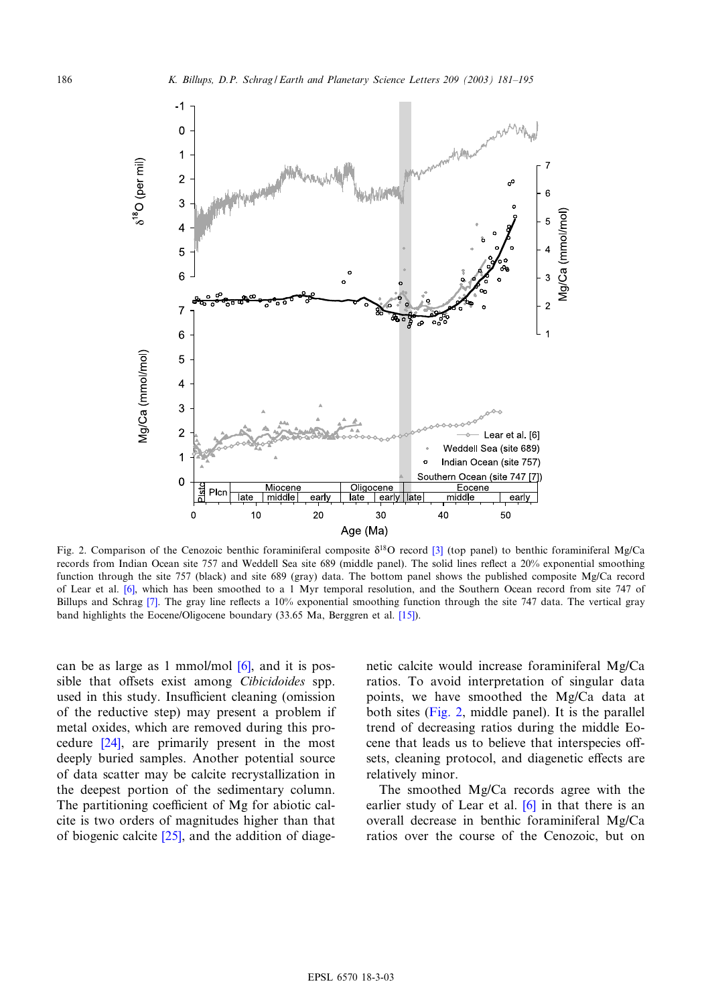<span id="page-5-0"></span>

Fig. 2. Comparison of the Cenozoic benthic foraminiferal composite  $\delta^{18}$ O record [3] (top panel) to benthic foraminiferal Mg/Ca records from I[ndi](#page-13-0)an Ocean site 757 and Weddell Sea site 689 (middle panel). The solid lines reflect a 20% exponential smoothing function through t[he s](#page-13-0)ite 757 (black) and site 689 (gray) data. The bottom panel shows the published composite Mg/Ca record of Lear et al. [6], which has been smoothed to a 1 Myr temporal resolut[ion,](#page-13-0) and the Southern Ocean record from site 747 of Billups and Schrag [7]. The gray line reflects a 10% exponential smoothing function through the site 747 data. The vertical gray band highlights the Eocene/Oligocene boundary (33.65 Ma, Berggren et al. [15]).

can be as large as 1 mmol/mol  $[6]$ , and it is possible that offsets exist among Cibicidoides spp. used in this study. Insufficient cleaning (omission of the [redu](#page-13-0)ctive step) may present a problem if metal oxides, which are removed during this procedure [24], are primarily present in the most deeply buried samples. Another potential source of data scatter may be calcite recrystallization in the deepest portion of the sedimentary column. The partitioning coefficient of Mg for abiotic calcite is two orders of magnitudes higher than that of biogenic calcite  $[25]$ , and the addition of diage-

netic calcite would increase foraminiferal Mg/Ca ratios. To avoid interpretation of singular data points, we have smoothed the Mg/Ca data at both sites (Fig. 2, middle panel). It is the parallel trend of decreasing ratios during the middle Eocene that leads us to believe that interspecies offsets, cleaning protocol, and diagenetic effects are relatively minor.

The smoothed Mg/Ca r[eco](#page-13-0)rds agree with the earlier study of Lear et al.  $[6]$  in that there is an overall decrease in benthic foraminiferal Mg/Ca ratios over the course of the Cenozoic, but on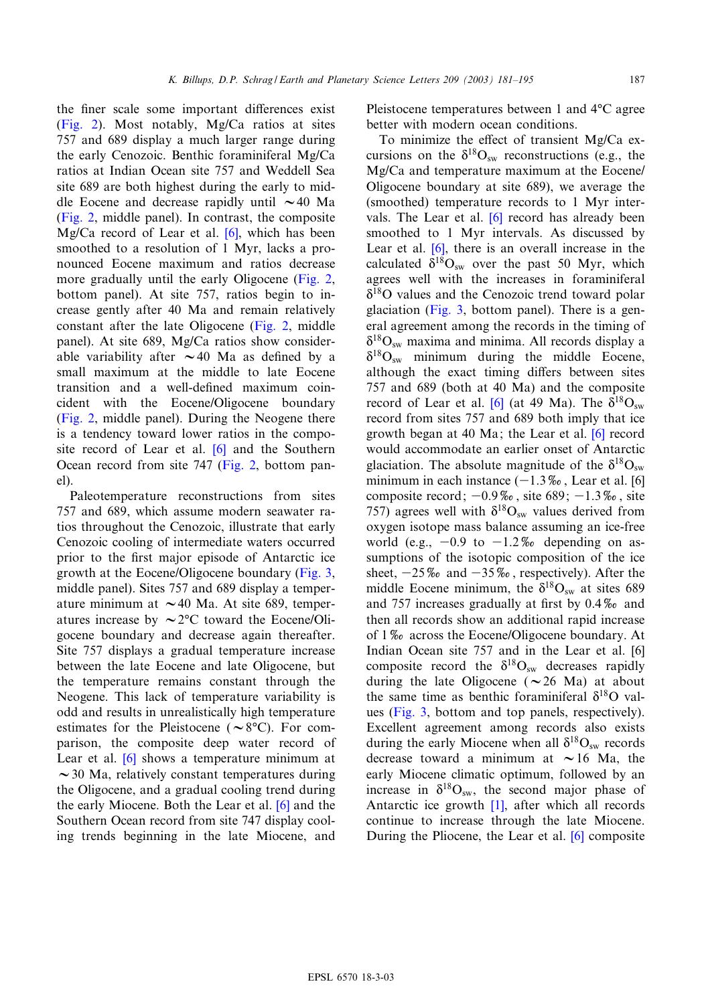[the](#page-5-0) finer scale some important differences exist (Fig. 2). Most notably, Mg/Ca ratios at sites 757 and 689 display a much larger range during the early Cenozoic. Benthic foraminiferal Mg/Ca ratios at Indian Ocean site 757 and Weddell Sea [site 689](#page-5-0) are both highest during the early to middle Eocene and decrease rap[idly](#page-13-0) until  $\sim$  40 Ma (Fig. 2, middle panel). In contrast, the composite Mg/Ca record of Lear et al. [6], which has been smoothed to a resolution of 1 Myr, lacks [a pro](#page-5-0)nounced Eocene maximum and ratios decrease more gradually until the early Oligocene (Fig. 2, bottom panel). At site 757, ratio[s begin](#page-5-0) to increase gently after 40 Ma and remain relatively constant after the late Oligocene (Fig. 2, middle panel). At site 689, Mg/Ca ratios show considerable variability after  $\sim$  40 Ma as defined by a small maximum at the middle to late Eocene [transiti](#page-5-0)on and a well-defined maximum coincident with the Eocene/Oligocene boundary (Fig. 2, middle panel). Dur[ing](#page-13-0) the Neogene there is a tendency toward lower [ratios i](#page-5-0)n the composite record of Lear et al. [6] and the Southern Ocean record from site 747 (Fig. 2, bottom panel).

Paleotemperature reconstructions from sites 757 and 689, which assume modern seawater ratios throughout the Cenozoic, illustrate that early Cenozoic cooling of intermediate waters o[ccurred](#page-7-0) prior to the first major episode of Antarctic ice growth at the Eocene/Oligocene boundary (Fig. 3, middle panel). Sites 757 and 689 display a temperature minimum at  $\sim$  40 Ma. At site 689, temperatures increase by  $\sim$  2 $\degree$ C toward the Eocene/Oligocene boundary and decrease again thereafter. Site 757 displays a gradual temperature increase between the late Eocene and late Oligocene, but the temperature remains constant through the Neogene. This lack of temperature variability is odd and results in unrealistically high temperature estimates f[or t](#page-13-0)he Pleistocene ( $\sim$ 8 $\degree$ C). For comparison, the composite deep water record of Lear et al. [6] shows a temperature minimum at  $\sim$  30 Ma, relatively constant temperat[ures](#page-13-0) during the Oligocene, and a gradual cooling trend during the early Miocene. Both the Lear et al. [6] and the Southern Ocean record from site 747 display cooling trends beginning in the late Miocene, and Pleistocene temperatures between 1 and  $4^{\circ}$ C agree better with modern ocean conditions.

To minimize the effect of transient  $Mg/Ca$  excursions on the  $\delta^{18}O_{sw}$  reconstructions (e.g., the Mg/Ca and temperature maximum at the Eocene/ Oligocene boundary [at s](#page-13-0)ite 689), we average the (smoothed) temperature records to 1 Myr intervals. The [Lear](#page-13-0) et al. [6] record has already been smoothed to 1 Myr intervals. As discussed by Lear et al. [6], there is an overall increase in the calculated  $\delta^{18}O_{sw}$  over the past 50 Myr, which agrees wel[l with](#page-7-0) the increases in foraminiferal  $\delta^{18}$ O values and the Cenozoic trend toward polar glaciation (Fig. 3, bottom panel). There is a general agreement among the records in the timing of  $\delta^{18}O_{sw}$  maxima and minima. All records display a  $\delta^{18}O_{sw}$  minimum during the middle Eocene, although the exact t[imi](#page-13-0)ng differs between sites 757 and 689 (both at 40 Ma) and the composite record of Lear et al. [6] (at 49 Ma). T[he](#page-13-0)  $\delta^{18}O_{sw}$ record from sites 757 and 689 both imply that ice growth began at 40 Ma; the Lear et al. [6] record would accommodate an earlier onset of Antarc[tic](#page-13-0) glaciation. The absolute magnitude of the  $\delta^{18}O_{sw}$ minimum in each instance  $(-1.3\%$ , Lear et al. [6] composite record;  $-0.9\%$ , site 689;  $-1.3\%$ , site 757) agrees well with  $\delta^{18}O_{sw}$  values derived from oxygen isotope mass balance assuming an ice-free world (e.g.,  $-0.9$  to  $-1.2\%$  depending on assumptions of the isotopic composition of the ice sheet,  $-25\%$  and  $-35\%$ , respectively). After the middle Eocene minimum, the  $\delta^{18}O_{sw}$  at sites 689 and 757 increases gradually at first by  $0.4\%$  and then all records show an additional rapid incre[ase](#page-13-0) of  $1\%$  across the Eocene/Oligocene boundary. At Indian Ocean site 757 and in the Lear et al. [6] composite record the  $\delta^{18}O_{sw}$  decreases rapidly duri[ng the](#page-7-0) late Oligocene ( $\sim$  26 Ma) at about the same time as benthic foraminiferal  $\delta^{18}$ O values (Fig. 3, bottom and top panels, respectively). Excellent agreement among records also exists during the early Miocene when all  $\delta^{18}O_{sw}$  records decrease toward a minimum at  $\sim$  16 Ma, the early Miocene climati[c o](#page-12-0)ptimum, followed by an increase in  $\delta^{18}O_{sw}$ , the second major phase of Antarctic ice growth [1], after whi[ch](#page-13-0) all records continue to increase through the late Miocene. During the Pliocene, the Lear et al. [6] composite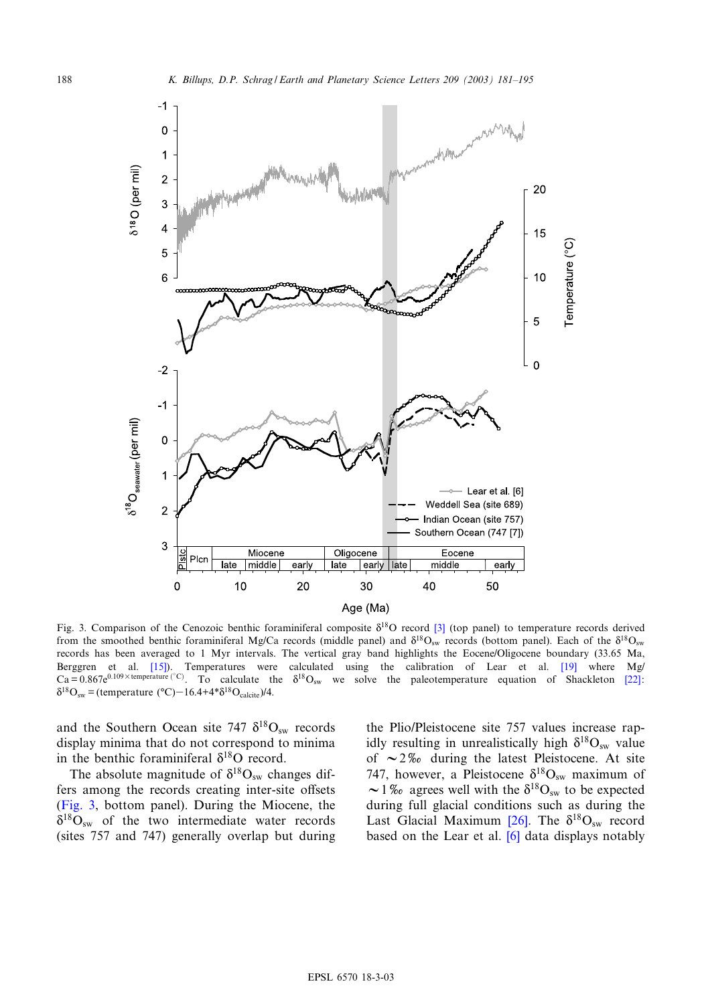<span id="page-7-0"></span>

Fig. 3. Comparison of the Cenozoic benthic foraminiferal composite  $\delta^{18}O$  record [3] (top panel) to temperature records derived from the smoothed [bent](#page-13-0)hic foraminiferal Mg/Ca records (middle panel) and  $\delta^{18}O_{sw}$  records (bottom panel). [Each](#page-13-0) of the  $\delta^{18}O_{sw}$ records has been averaged to 1 Myr intervals. The vertical gray band highlights the Eocene/Oligocene boundary (33.65 [Ma](#page-13-0), Berggren et al. [15]). Temperatures were calculated using the calibration of Lear et al. [19] where Mg/  $Ca = 0.867e^{0.109 \times \text{temperature } (°C)}$ . To calculate the  $\delta^{18}O_{sw}$  we solve the paleotemperature equation of Shackleton [22]:  $\delta^{18}O_{sw}$  = (temperature (°C)-16.4+4\* $\delta^{18}O_{calcite}$ )/4.

and the Southern Ocean site 747  $\delta^{18}O_{sw}$  records display minima that do not correspond to minima in the benthic foraminiferal  $\delta^{18}O$  record.

The absolute magnitude of  $\delta^{18}O_{sw}$  changes differs among the records creating inter-site offsets (Fig. 3, bottom panel). During the Miocene, the  $\delta^{18}O_{\rm sw}$  of the two intermediate water records (sites 757 and 747) generally overlap but during

the Plio/Pleistocene site 757 values increase rapidly resulting in unrealistically high  $\delta^{18}O_{sw}$  value of  $\sim$  2\% during the latest Pleistocene. At site 747, however, a Pleistocene  $\delta^{18}O_{sw}$  maximum of  $\sim$  1% agrees well with t[he](#page-13-0)  $\delta^{18}O_{sw}$  to be expected during full glacial condi[tion](#page-13-0)s such as during the Last Glacial Maximum [26]. The  $\delta^{18}O_{sw}$  record based on the Lear et al. [6] data displays notably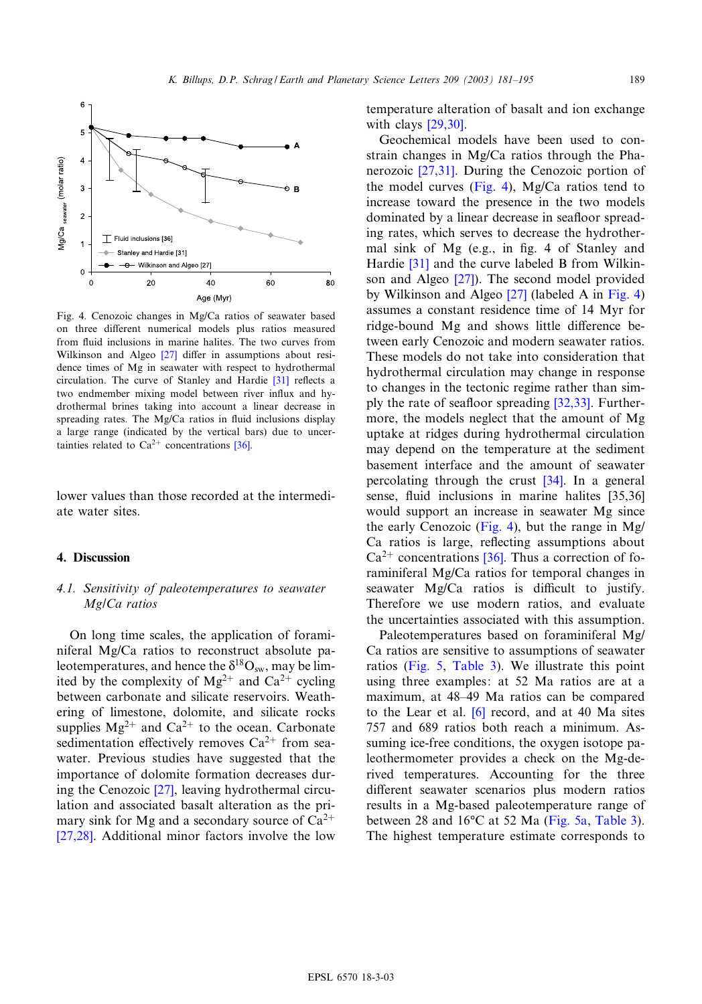<span id="page-8-0"></span>

Fig. 4. Cenozoic changes in Mg/Ca ratios of seawater based on three different nu[meri](#page-13-0)cal models plus ratios measured from fluid inclusions in marine halites. The two curves from Wilkinson and Algeo  $[27]$  differ in assumptio[ns a](#page-13-0)bout residence times of Mg in seawater with respect to hydrothermal circulation. The curve of Stanley and Hardie [31] reflects a two endmember mixing model between river influx and hydrothermal brines taking into account a linear decrease in spreading rates. The Mg/Ca ratios in fluid inclusions display a large range (indicated by the vertical bars) due to uncertainties related to  $Ca^{2+}$  concentrations [36].

lower values than those recorded at the intermediate water sites.

## 4. Discussion

## 4.1. Sensitivity of paleotemperatures to seawater Mg/Ca ratios

On long time scales, the application of foraminiferal Mg/Ca ratios to reconstruct absolute paleotemperatures, and hence the  $\delta^{18}O_{sw}$ , may be limited by the complexity of  $Mg^{2+}$  and  $Ca^{2+}$  cycling between carbonate and silicate reservoirs. Weathering of limestone, dolomite, and silicate rocks supplies  $Mg^{2+}$  and  $Ca^{2+}$  to the ocean. Carbonate sedimentation effectively removes  $Ca^{2+}$  from seawater. Previous [stud](#page-13-0)ies have suggested that the importance of dolomite formation decreases during the Cenozoic [27], leaving hydrothermal circu[lation](#page-13-0) and associated basalt alteration as the primary sink for Mg and a secondary source of  $Ca^{2+}$ [27,28]. Additional minor factors involve the low temperatu[re](#page-13-0) [altera](#page-13-0)tion of basalt and ion exchange with clays [29,30].

Geoch[emical](#page-13-0) models have been used to constrain changes in Mg/Ca ratios through the Phanerozoic [27,31]. During the Cenozoic portion of the model curves (Fig. 4), Mg/Ca ratios tend to increase toward the presence in the two models dominated by a linear decrease in seafloor spreading rat[es, w](#page-13-0)hich serves to decrease the hydrother-mal sink of [Mg \(e](#page-13-0).g., in fig. 4 of Stanley and Hardie [31] and the curv[e lab](#page-13-0)eled B from Wilkinson and Algeo [27]). The second model provided by Wilkinson and Algeo [27] (labeled A in Fig. 4) assumes a constant residence time of 14 Myr for ridge-bound Mg and shows little difference between early Cenozoic and modern seawater ratios. These models do not take into consideration that hydrothermal circulation may ch[ange in](#page-13-0) response to changes in the tectonic regime rather than simply the rate of seafloor spreading  $[32,33]$ . Furthermore, the models neglect that the amount of Mg uptake at ridges during hydrothermal circulation may depend on the temperatu[re at](#page-14-0) the sediment basement interface and the amount of se[awater](#page-14-0) percolating through the crust [34]. In a general sense, fluid inclusions in marine halites [35,36] would support an increase in seawater Mg since the early Cenozoic ([Fig.](#page-14-0) 4), but the range in Mg/ Ca ratios is large, reflecting assumptions about  $Ca^{2+}$  concentrations [36]. Thus a correction of foraminiferal Mg/Ca ratios for temporal changes in seawater  $Mg/Ca$  ratios is difficult to justify. Therefore we use modern ratios, and evaluate the uncertainties associated with this assumption.

Pale[otempe](#page-9-0)r[atures ba](#page-10-0)sed on foraminiferal Mg/ Ca ratios are sensitive to assumptions of seawater ratios (Fig. 5, Table 3). We illustrate this point using three exam[ples](#page-13-0): at 52 Ma ratios are at a maximum, at 48^49 Ma ratios can be compared to the Lear et al.  $[6]$  record, and at 40 Ma sites 757 and 689 ratios both reach a minimum. Assuming ice-free conditions, the oxygen isotope paleothermometer provides a check on the Mg-derived temperatures. Accounting for the three different seawater scenarios pl[us mod](#page-9-0)e[rn ratio](#page-10-0)s results in a Mg-based paleotemperature range of between 28 and  $16^{\circ}$ C at 52 Ma (Fig. 5a, Table 3). The highest temperature estimate corresponds to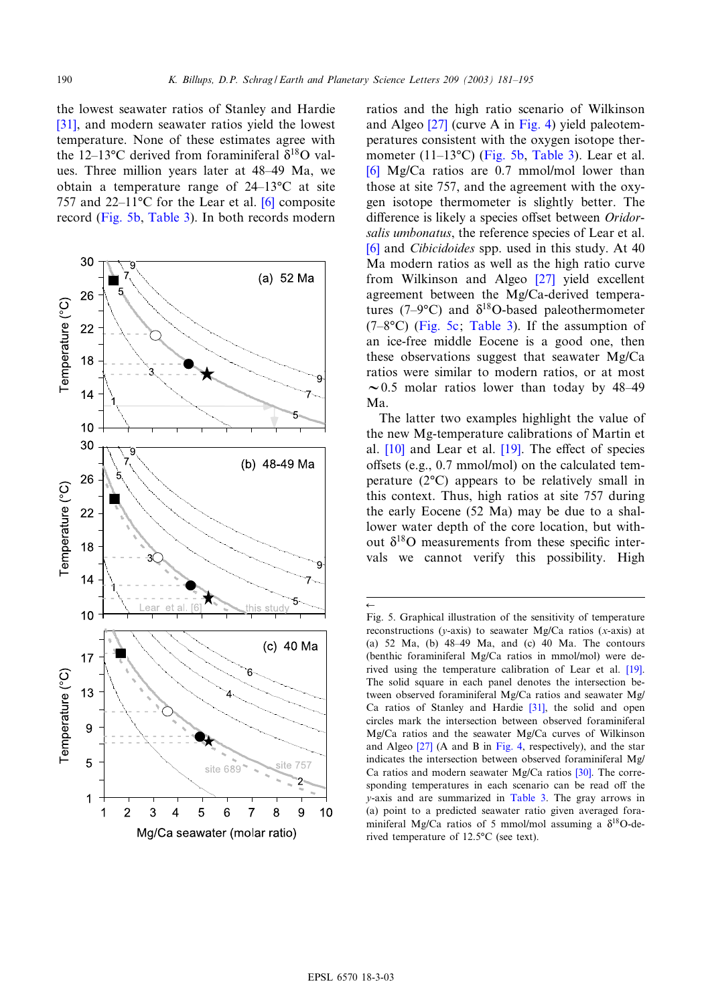$\overline{\overline{}}$ 

<span id="page-9-0"></span>[the](#page-13-0) lowest seawater ratios of Stanley and Hardie [31], and modern seawater ratios yield the lowest temperature. None of these estimates agree with the 12–13 $\rm{^{\circ}C}$  derived from foraminiferal  $\delta^{18}O$  values. Three million years later at 4[8^4](#page-13-0)9 Ma, we obtain a tempe[rature r](#page-10-0)ange of  $24-13$ <sup>o</sup>C at site 757 and 22–11 $\degree$ C for the Lear et al. [6] composite record (Fig. 5b, Table 3). In both records modern



ratios and [the](#page-13-0) high ratio [scenar](#page-8-0)io of Wilkinson and Algeo [27] (curve A in Fi[g. 4\) yie](#page-10-0)ld paleotem[per](#page-13-0)atures consistent with the oxygen isotope thermometer (11-13 $°C$ ) (Fig. 5b, Table 3). Lear et al. [6] Mg/Ca ratios are 0.7 mmol/mol lower than those at site 757, and the agreement with the oxygen isotope thermometer is slightly better. The difference is likely a species offset between Oridorsalis umbonatus, the reference species of Lear et al. [6] and Cibicidoides spp. used [in th](#page-13-0)is study. At 40 Ma modern ratios as well as the high ratio curve from Wilkinson and Algeo [27] yield excellent agreement betwee[n the M](#page-10-0)g/Ca-derived temperatures (7-9°C) and  $\delta^{18}$ O-based paleothermometer  $(7-8\degree C)$  (Fig. 5c; Table 3). If the assumption of an ice-free middle Eocene is a good one, then these observations suggest that seawater Mg/Ca ratios were similar to modern ratios, or at most  $\sim$  0.5 molar ratios lower than today by 48–49 Ma.

[The](#page-13-0) latter two exam[ples](#page-13-0) highlight the value of the new Mg-temperature calibrations of Martin et al.  $[10]$  and Lear et al.  $[19]$ . The effect of species offsets (e.g.,  $0.7 \text{ mmol/mol}$ ) on the calculated temperature  $(2^{\circ}C)$  appears to be relatively small in this context. Thus, high ratios at site 757 during the early Eocene (52 Ma) may be due to a shallower water depth of the core location, but without  $\delta^{18}$ O measurements from these specific intervals we cannot verify this possibility. High

Fig. 5. Graphical illustration of the sensitivity of temperature reconstructions (y-axis) to seawater Mg/Ca ratios (x-axis) at (a) 52 Ma, (b)  $48-49$  Ma, and (c) 40 Ma. The cont[ours](#page-13-0) (benthic foraminiferal Mg/Ca ratios in mmol/mol) were derived using the temperature calibration of Lear et al. [19]. The solid square in each panel de[note](#page-13-0)s the intersection between observed foraminiferal Mg/Ca ratios and seawater Mg/ Ca ratios of Stanley and Hardie [31], the solid and open circles mar[k th](#page-13-0)e intersectio[n betw](#page-8-0)een observed foraminiferal Mg/Ca ratios and the seawater Mg/Ca curves of Wilkinson and Algeo [27] (A and B in Fig. 4, respectivel[y\), a](#page-13-0)nd the star indicates the intersection between observed foraminiferal Mg/ Ca ratios and modern seawater [Mg/Ca](#page-10-0) ratios [30]. The corresponding temperatures in each scenario can be read off the y-axis and are summarized in Table 3. The gray arrows in (a) point to a predicted seawater ratio given averaged foraminiferal Mg/Ca ratios of 5 mmol/mol assuming a  $\delta^{18}$ O-derived temperature of 12.5°C (see text).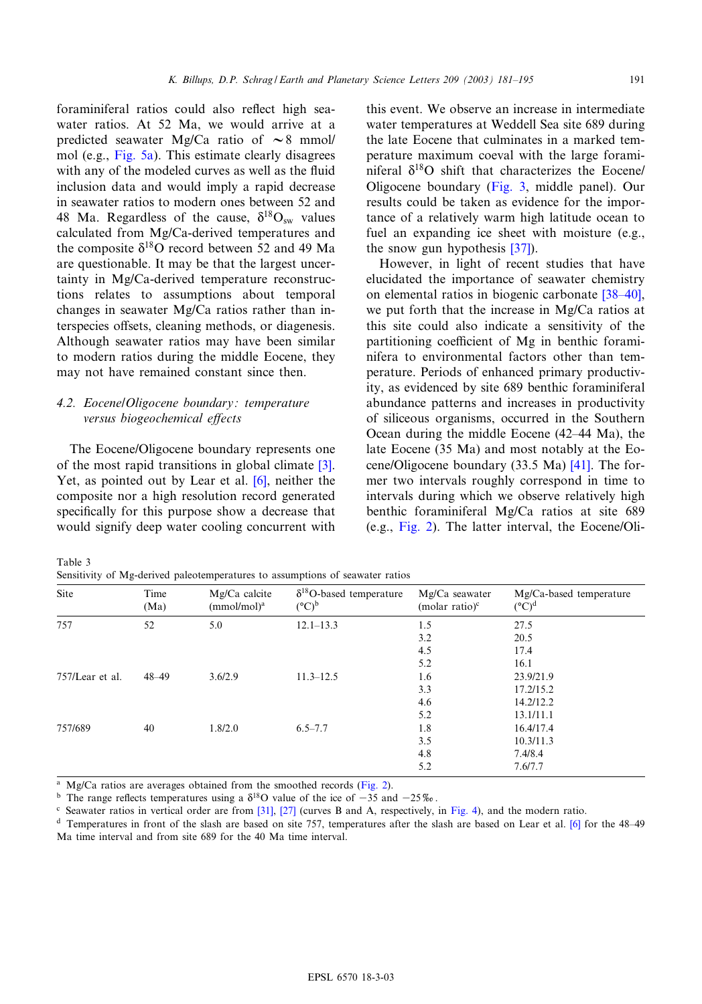<span id="page-10-0"></span>foraminiferal ratios could also reflect high seawater rat[ios. At](#page-9-0) 52 Ma, we would arrive at a predicted seawater Mg/Ca ratio of  $\sim$ 8 mmol/ mol (e.g., Fig. 5a). This estimate clearly disagrees with any of the modeled curves as well as the fluid inclusion data and would imply a rapid decrease in seawater ratios to modern ones between 52 and 48 Ma. Regardless of the cause,  $\delta^{18}O_{sw}$  values calculated from Mg/Ca-derived temperatures and the composite  $\delta^{18}$ O record between 52 and 49 Ma are questionable. It may be that the largest uncertainty in Mg/Ca-derived temperature reconstructions relates to assumptions about temporal changes in seawater Mg/Ca ratios rather than interspecies offsets, cleaning methods, or diagenesis. Although seawater ratios may have been similar to modern ratios during the middle Eocene, they may not have remained constant since then.

# 4.2. Eocene/Oligocene boundary: temperature versus biogeochemical effects

The Eocene/Oligocene boundary [rep](#page-13-0)resents [one](#page-12-0) of the most rapid transitions in global climate [3]. Yet, as pointed out by Lear et al. [6], neither the composite nor a high resolution record generated specifically for this purpose show a decrease that would signify deep water cooling concurrent with

this event. We observe an increase in intermediate water temperatures at Weddell Sea site 689 during the late Eocene that culminates in a marked temperature maximum c[oeval w](#page-7-0)ith the large foraminiferal  $\delta^{18}$ O shift that characterizes the Eocene/ Oligocene boundary (Fig. 3, middle panel). Our results could be taken as evidence for the importance of a relatively war[m hi](#page-14-0)gh latitude ocean to fuel an expanding ice sheet with moisture (e.g., the snow gun hypothesis [37]).

However, in light of recent studies th[at have](#page-14-0) elucidated the importance of seawater chemistry on elemental ratios in biogenic carbonate [38^40], we put forth that the increase in Mg/Ca ratios at this site could also indicate a sensitivity of the partitioning coefficient of Mg in benthic foraminifera to environmental factors other than temperature. Periods of enhanced primary productivity, as evidenced by site 689 benthic foraminiferal abundance patterns and increases in productivity of siliceous organisms, occurred in the Southern Ocean during the middle Eocene (42–44 Ma), the late Eocene (35 Ma) and most notably at the Eocene/Oligocene boundary (33.5 Ma) [41]. The former two intervals roughly correspond in time to interv[als du](#page-5-0)ring which we observe relatively high benthic foraminiferal Mg/Ca ratios at site 689 (e.g., Fig. 2). The latter interval, the Eocene/Oli-

Table 3

Sensitivity of Mg-derived paleotemperatures to assumptions of seawater ratios

| Site            | Time<br>(Ma) | Mg/Ca calcite<br>(mmol/mol) <sup>a</sup> | $\delta^{18}$ O-based temperature<br>$({}^{\circ}C)^{b}$ | Mg/Ca seawater<br>(molar ratio) $\text{c}$ | Mg/Ca-based temperature<br>$({}^{\circ}C)^{d}$ |
|-----------------|--------------|------------------------------------------|----------------------------------------------------------|--------------------------------------------|------------------------------------------------|
| 757             | 52           | 5.0                                      | $12.1 - 13.3$                                            | 1.5                                        | 27.5                                           |
|                 |              |                                          |                                                          | 3.2                                        | 20.5                                           |
|                 |              |                                          |                                                          | 4.5                                        | 17.4                                           |
|                 |              |                                          |                                                          | 5.2                                        | 16.1                                           |
| 757/Lear et al. | $48 - 49$    | 3.6/2.9                                  | $11.3 - 12.5$                                            | 1.6                                        | 23.9/21.9                                      |
|                 |              |                                          |                                                          | 3.3                                        | 17.2/15.2                                      |
|                 |              |                                          |                                                          | 4.6                                        | 14.2/12.2                                      |
|                 |              |                                          |                                                          | 5.2                                        | 13.1/11.1                                      |
| 757/689         | 40           | 1.8/2.0                                  | $6.5 - 7.7$                                              | 1.8                                        | 16.4/17.4                                      |
|                 |              |                                          |                                                          | 3.5                                        | 10.3/11.3                                      |
|                 |              |                                          |                                                          | 4.8                                        | 7.4/8.4                                        |
|                 |              |                                          |                                                          | 5.2                                        | 7.6/7.7                                        |

 $Mg/Ca$  ratios are averages obtained from [the](#page-13-0) s[moo](#page-13-0)thed records (Fig. 2).

<sup>b</sup> The range reflects temperatures using a  $\delta^{18}$ O value of the ice of -35 and -25%.

<sup>c</sup> Seawater ratios in vertical order are from [31], [27] (curves B and A, respectively, in Fig. 4), and the modern ratio.

<sup>d</sup> Temperatures in front of the slash are based on site 757, temperatures after the slash are based on Lear et al. [6] for the 48-49 Ma time interval and from site 689 for the 40 Ma time interval.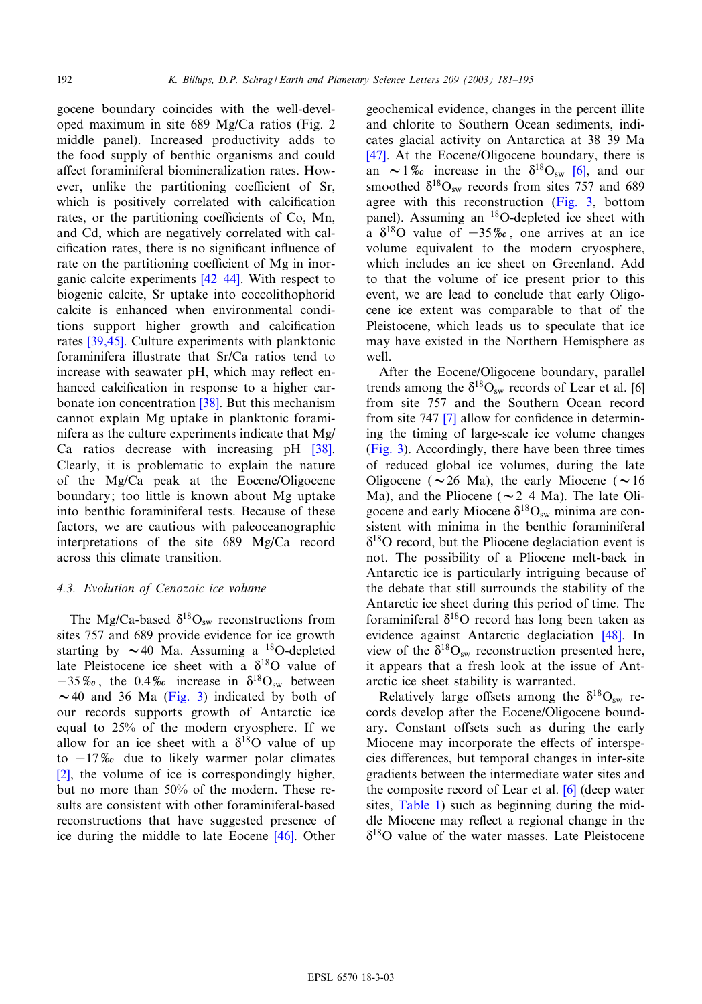gocene boundary coincides with the well[-devel](#page-5-0)oped maximum in site 689 Mg/Ca ratios (Fig. 2 middle panel). Increased productivity adds to the food supply of benthic organisms and could affect foraminiferal biomineralization rates. However, unlike the partitioning coefficient of Sr, which is positively correlated with calcification rates, or the partitioning coefficients of Co, Mn, and Cd, which are negatively correlated with calcification rates, there is no significant influence of rate on the partitioning coefficient of Mg in inorganic calcite experiments  $[42-44]$ . With respect to biogenic calcite, Sr uptake into coccolithophorid calcit[e is en](#page-14-0)hanced when environmental conditions support higher growth and calcification rates [39,45]. Culture experiments with planktonic foraminifera illustrate that Sr/Ca ratios tend to increase with seawater p[H, w](#page-14-0)hich may reflect enhanced calcification in response to a higher carbonate ion concentration [38]. But this mechanism cannot explain Mg uptake in planktonic for[ami](#page-14-0)nifera as the culture experiments indicate that Mg/ Ca ratios decrease with increasing pH [38]. Clearly, it is problematic to explain the nature of the Mg/Ca peak at the Eocene/Oligocene boundary; too little is known about Mg uptake into benthic foraminiferal tests. Because of these factors, we are cautious with paleoceanographic interpretations of the site 689 Mg/Ca record across this climate transition.

## 4.3. Evolution of Cenozoic ice volume

The Mg/Ca-based  $\delta^{18}O_{sw}$  reconstructions from sites 757 and 689 provide evidence for ice growth starting by  $\sim$  40 Ma. Assuming a <sup>18</sup>O-depleted late Pleistocene ice [sheet](#page-7-0) with a  $\delta^{18}$ O value of  $-35\%$ , the 0.4\% increase in  $\delta^{18}O_{sw}$  between  $\sim$  40 and 36 Ma (Fig. 3) indicated by both of our records supports growth of Antarctic ice equal to 25% of the modern cryosphere. If we [all](#page-12-0)ow for an ice sheet with a  $\delta^{18}$ O value of up to  $-17\%$  due to likely warmer polar climates [2], the volume of ice is correspondingly higher, but no more than 50% of the modern. These results are consistent with other foramin[ifera](#page-14-0)l-based reconstructions that have suggested presence of ice during the middle to late Eocene [46]. Other

geochemical evidence, changes in the percent illite [and](#page-14-0) chlorite to Southern Ocean sediments, indicates glacial activity on Antarctica [at](#page-13-0) 38^39 Ma [47]. At the Eocene/Oligocene boundary, there is an  $\sim$  1% increase in the  $\delta^{18}O_{sw}$  [\[6\],](#page-7-0) and our smoothed  $\delta^{18}O_{sw}$  records from sites 757 and 689 agree with this reconstruction (Fig. 3, bottom panel). Assuming an 18O-depleted ice sheet with a  $\delta^{18}$ O value of  $-35\%$ , one arrives at an ice volume equivalent to the modern cryosphere, which includes an ice sheet on Greenland. Add to that the volume of ice present prior to this event, we are lead to conclude that early Oligocene ice extent was comparable to that of the Pleistocene, which leads us to speculate that ice may have existed in the Northern Hemisphere as well.

After the Eocene/Oligocene boundary, para[llel](#page-13-0) trends among [th](#page-13-0)e  $\delta^{18}O_{sw}$  records of Lear et al. [6] from site 757 and the Southern Ocean record [from si](#page-7-0)te 747  $[7]$  allow for confidence in determining the timing of large-scale ice volume changes (Fig. 3). Accordingly, there have been three times of reduced global ice volumes, during the late Oligocene ( $\sim$ 26 Ma), the early Miocene ( $\sim$ 16 Ma), and the Pliocene ( $\sim$  2–4 Ma). The late Oligocene and early Miocene  $\delta^{18}O_{\rm sw}$  minima are consistent with minima in the benthic foraminiferal  $\delta^{18}$ O record, but the Pliocene deglaciation event is not. The possibility of a Pliocene melt-back in Antarctic ice is particularly intriguing because of the debate that still surrounds the stability of the Antarctic ice sheet during this period of ti[me.](#page-14-0) The foraminiferal  $\delta^{18}$ O record has long been taken as evidence against Antarctic deglaciation [48]. In view of the  $\delta^{18}O_{sw}$  reconstruction presented here, it appears that a fresh look at the issue of Antarctic ice sheet stability is warranted.

Relatively large offsets among the  $\delta^{18}O_{sw}$  records develop after the Eocene/Oligocene boundary. Constant offsets such as during the early Miocene may incorporate the effects of interspecies differences, but temporal chan[ges](#page-13-0) in inter-site gradi[ents betw](#page-2-0)een the intermediate water sites and the composite record of Lear et al. [6] (deep water sites, Table 1) such as beginning during the middle Miocene may reflect a regional change in the  $\delta^{18}$ O value of the water masses. Late Pleistocene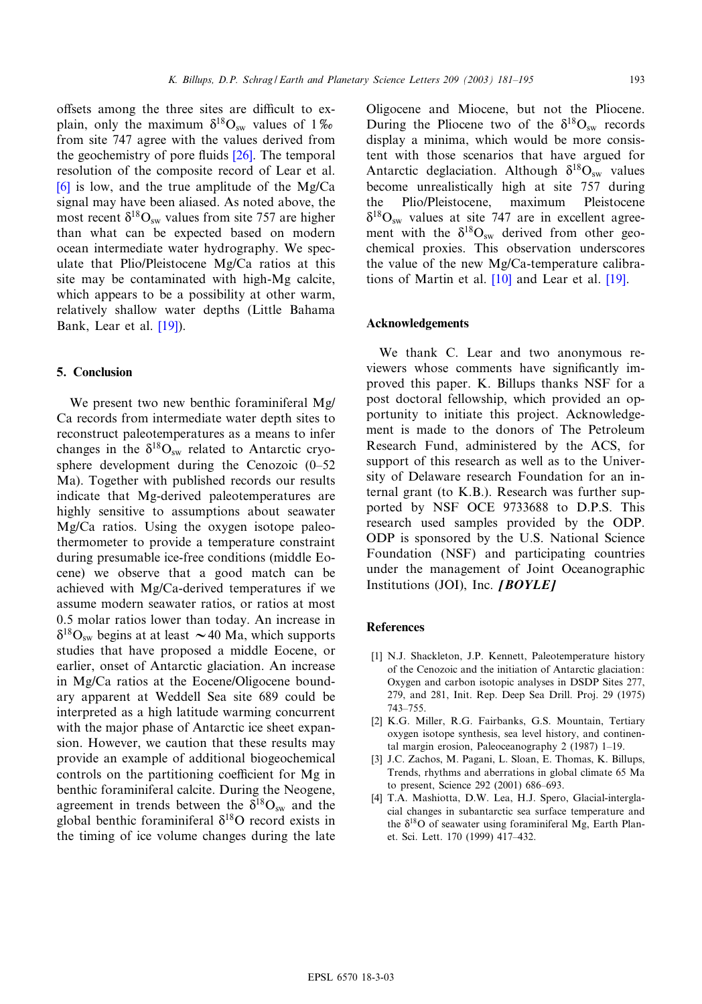<span id="page-12-0"></span>offsets among the three sites are difficult to explain, only the maximum  $\delta^{18}O_{sw}$  values of 1\% from site 747 agree with the values derived from [the](#page-13-0) geochemistry of pore fluids  $[26]$ . The temporal resolution of the composite record of Lear et al.

 $[6]$  is low, and the true amplitude of the Mg/Ca signal may have been aliased. As noted above, the most recent  $\delta^{18}O_{\rm sw}$  values from site 757 are higher than what can be expected based on modern ocean intermediate water hydrography. We speculate that Plio/Pleistocene Mg/Ca ratios at this site may be contaminated with high-Mg calcite, which appears to [be a](#page-13-0) possibility at other warm, relatively shallow water depths (Little Bahama Bank, Lear et al. [19]).

## 5. Conclusion

We present two new benthic foraminiferal Mg/ Ca records from intermediate water depth sites to reconstruct paleotemperatures as a means to infer changes in the  $\delta^{18}O_{sw}$  related to Antarctic cryosphere development during the Cenozoic (0-52 Ma). Together with published records our results indicate that Mg-derived paleotemperatures are highly sensitive to assumptions about seawater Mg/Ca ratios. Using the oxygen isotope paleothermometer to provide a temperature constraint during presumable ice-free conditions (middle Eocene) we observe that a good match can be achieved with Mg/Ca-derived temperatures if we assume modern seawater ratios, or ratios at most 0.5 molar ratios lower than today. An increase in  $\delta^{18}O_{sw}$  begins at at least  $\sim$  40 Ma, which supports studies that have proposed a middle Eocene, or earlier, onset of Antarctic glaciation. An increase in Mg/Ca ratios at the Eocene/Oligocene boundary apparent at Weddell Sea site 689 could be interpreted as a high latitude warming concurrent with the major phase of Antarctic ice sheet expansion. However, we caution that these results may provide an example of additional biogeochemical controls on the partitioning coefficient for Mg in benthic foraminiferal calcite. During the Neogene, agreement in trends between the  $\delta^{18}O_{sw}$  and the global benthic foraminiferal  $\delta^{18}$ O record exists in the timing of ice volume changes during the late

Oligocene and Miocene, but not the Pliocene. During the Pliocene two of the  $\delta^{18}O_{sw}$  records display a minima, which would be more consistent with those scenarios that have argued for Antarctic deglaciation. Although  $\delta^{18}O_{sw}$  values become unrealistically high at site 757 during the Plio/Pleistocene, maximum Pleistocene  $\delta^{18}O_{\rm sw}$  values at site 747 are in excellent agreement with the  $\delta^{18}O_{sw}$  derived from other geochemical proxies. Th[is o](#page-13-0)bservation und[ersco](#page-13-0)res the value of the new Mg/Ca-temperature calibrations of Martin et al. [10] and Lear et al. [19].

#### Acknowledgements

We thank C. Lear and two anonymous reviewers whose comments have significantly improved this paper. K. Billups thanks NSF for a post doctoral fellowship, which provided an opportunity to initiate this project. Acknowledgement is made to the donors of The Petroleum Research Fund, administered by the ACS, for support of this research as well as to the University of Delaware research Foundation for an internal grant (to K.B.). Research was further supported by NSF OCE 9733688 to D.P.S. This research used samples provided by the ODP. ODP is sponsored by the U.S. National Science Foundation (NSF) and participating countries under the management of Joint Oceanographic Institutions (JOI), Inc.  $[BOYLE]$ 

#### References

- [1] N.J. Shackleton, J.P. Kennett, Paleotemperature history of the Cenozoic and the initiation of Antarctic glaciation: Oxygen and carbon isotopic analyses in DSDP Sites 277, 279, and 281, Init. Rep. Deep Sea Drill. Proj. 29 (1975) 743^755.
- [2] K.G. Miller, R.G. Fairbanks, G.S. Mountain, Tertiary oxygen isotope synthesis, sea level history, and continental margin erosion, Paleoceanography 2 (1987) 1-19.
- [3] J.C. Zachos, M. Pagani, L. Sloan, E. Thomas, K. Billups, Trends, rhythms and aberrations in global climate 65 Ma to present, Science 292 (2001) 686^693.
- [4] T.A. Mashiotta, D.W. Lea, H.J. Spero, Glacial-interglacial changes in subantarctic sea surface temperature and the  $\delta^{18}$ O of seawater using foraminiferal Mg, Earth Planet. Sci. Lett. 170 (1999) 417^432.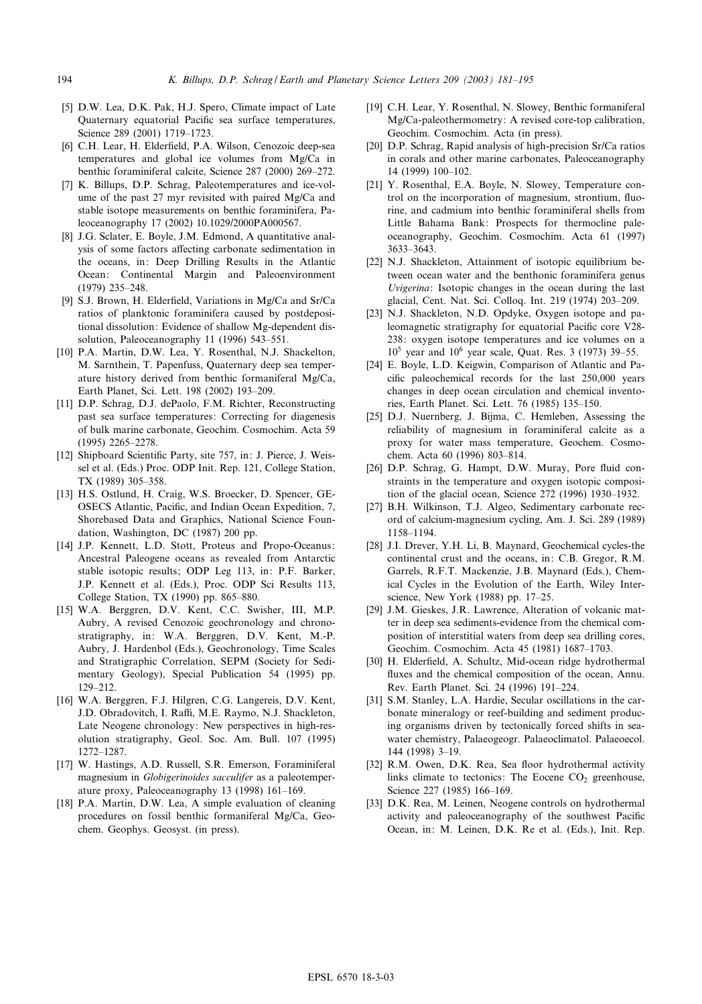- <span id="page-13-0"></span>[5] D.W. Lea, D.K. Pak, H.J. Spero, Climate impact of Late Quaternary equatorial Pacific sea surface temperatures, Science 289 (2001) 1719-1723.
- [6] C.H. Lear, H. Elderfield, P.A. Wilson, Cenozoic deep-sea temperatures and global ice volumes from Mg/Ca in benthic foraminiferal calcite, Science 287 (2000) 269-272.
- [7] K. Billups, D.P. Schrag, Paleotemperatures and ice-volume of the past 27 myr revisited with paired Mg/Ca and stable isotope measurements on benthic foraminifera, Paleoceanography 17 (2002) 10.1029/2000PA000567.
- [8] J.G. Sclater, E. Boyle, J.M. Edmond, A quantitative analysis of some factors affecting carbonate sedimentation in the oceans, in: Deep Drilling Results in the Atlantic Ocean: Continental Margin and Paleoenvironment (1979) 235-248.
- [9] S.J. Brown, H. Elderfield, Variations in Mg/Ca and Sr/Ca ratios of planktonic foraminifera caused by postdepositional dissolution: Evidence of shallow Mg-dependent dissolution, Paleoceanography 11 (1996) 543-551.
- [10] P.A. Martin, D.W. Lea, Y. Rosenthal, N.J. Shackelton, M. Sarnthein, T. Papenfuss, Quaternary deep sea temperature history derived from benthic formaniferal Mg/Ca, Earth Planet, Sci. Lett. 198 (2002) 193^209.
- [11] D.P. Schrag, D.J. dePaolo, F.M. Richter, Reconstructing past sea surface temperatures: Correcting for diagenesis of bulk marine carbonate, Geochim. Cosmochim. Acta 59 (1995) 2265^2278.
- [12] Shipboard Scientific Party, site 757, in: J. Pierce, J. Weissel et al. (Eds.) Proc. ODP Init. Rep. 121, College Station, TX (1989) 305-358.
- [13] H.S. Ostlund, H. Craig, W.S. Broecker, D. Spencer, GE-OSECS Atlantic, Pacific, and Indian Ocean Expedition, 7, Shorebased Data and Graphics, National Science Foundation, Washington, DC (1987) 200 pp.
- [14] J.P. Kennett, L.D. Stott, Proteus and Propo-Oceanus: Ancestral Paleogene oceans as revealed from Antarctic stable isotopic results; ODP Leg 113, in: P.F. Barker, J.P. Kennett et al. (Eds.), Proc. ODP Sci Results 113, College Station, TX (1990) pp. 865-880.
- [15] W.A. Berggren, D.V. Kent, C.C. Swisher, III, M.P. Aubry, A revised Cenozoic geochronology and chronostratigraphy, in: W.A. Berggren, D.V. Kent, M.-P. Aubry, J. Hardenbol (Eds.), Geochronology, Time Scales and Stratigraphic Correlation, SEPM (Society for Sedimentary Geology), Special Publication 54 (1995) pp. 129^212.
- [16] W.A. Berggren, F.J. Hilgren, C.G. Langereis, D.V. Kent, J.D. Obradovitch, I. Raffi, M.E. Raymo, N.J. Shackleton, Late Neogene chronology: New perspectives in high-resolution stratigraphy, Geol. Soc. Am. Bull. 107 (1995) 1272^1287.
- [17] W. Hastings, A.D. Russell, S.R. Emerson, Foraminiferal magnesium in Globigerinoides sacculifer as a paleotemperature proxy, Paleoceanography 13 (1998) 161^169.
- [18] P.A. Martin, D.W. Lea, A simple evaluation of cleaning procedures on fossil benthic formaniferal Mg/Ca, Geochem. Geophys. Geosyst. (in press).
- [19] C.H. Lear, Y. Rosenthal, N. Slowey, Benthic formaniferal Mg/Ca-paleothermometry: A revised core-top calibration, Geochim. Cosmochim. Acta (in press).
- [20] D.P. Schrag, Rapid analysis of high-precision Sr/Ca ratios in corals and other marine carbonates, Paleoceanography 14 (1999) 100^102.
- [21] Y. Rosenthal, E.A. Boyle, N. Slowey, Temperature control on the incorporation of magnesium, strontium, fluorine, and cadmium into benthic foraminiferal shells from Little Bahama Bank: Prospects for thermocline paleoceanography, Geochim. Cosmochim. Acta 61 (1997) 3633^3643.
- [22] N.J. Shackleton, Attainment of isotopic equilibrium between ocean water and the benthonic foraminifera genus Uvigerina: Isotopic changes in the ocean during the last glacial, Cent. Nat. Sci. Colloq. Int. 219 (1974) 203^209.
- [23] N.J. Shackleton, N.D. Opdyke, Oxygen isotope and paleomagnetic stratigraphy for equatorial Pacific core V28-238: oxygen isotope temperatures and ice volumes on a  $10^5$  year and  $10^6$  year scale, Quat. Res. 3 (1973) 39–55.
- [24] E. Boyle, L.D. Keigwin, Comparison of Atlantic and Pacific paleochemical records for the last 250,000 years changes in deep ocean circulation and chemical inventories, Earth Planet. Sci. Lett. 76 (1985) 135^150.
- [25] D.J. Nuernberg, J. Bijma, C. Hemleben, Assessing the reliability of magnesium in foraminiferal calcite as a proxy for water mass temperature, Geochem. Cosmochem. Acta 60 (1996) 803^814.
- [26] D.P. Schrag, G. Hampt, D.W. Muray, Pore fluid constraints in the temperature and oxygen isotopic composition of the glacial ocean, Science 272 (1996) 1930^1932.
- [27] B.H. Wilkinson, T.J. Algeo, Sedimentary carbonate record of calcium-magnesium cycling, Am. J. Sci. 289 (1989) 1158^1194.
- [28] J.I. Drever, Y.H. Li, B. Maynard, Geochemical cycles-the continental crust and the oceans, in: C.B. Gregor, R.M. Garrels, R.F.T. Mackenzie, J.B. Maynard (Eds.), Chemical Cycles in the Evolution of the Earth, Wiley Interscience, New York (1988) pp. 17-25.
- [29] J.M. Gieskes, J.R. Lawrence, Alteration of volcanic matter in deep sea sediments-evidence from the chemical composition of interstitial waters from deep sea drilling cores, Geochim. Cosmochim. Acta 45 (1981) 1687^1703.
- [30] H. Elderfield, A. Schultz, Mid-ocean ridge hydrothermal fluxes and the chemical composition of the ocean, Annu. Rev. Earth Planet. Sci. 24 (1996) 191^224.
- [31] S.M. Stanley, L.A. Hardie, Secular oscillations in the carbonate mineralogy or reef-building and sediment producing organisms driven by tectonically forced shifts in seawater chemistry, Palaeogeogr. Palaeoclimatol. Palaeoecol. 144 (1998) 3^19.
- [32] R.M. Owen, D.K. Rea, Sea floor hydrothermal activity links climate to tectonics: The Eocene  $CO<sub>2</sub>$  greenhouse, Science 227 (1985) 166-169.
- [33] D.K. Rea, M. Leinen, Neogene controls on hydrothermal activity and paleoceanography of the southwest Pacific Ocean, in: M. Leinen, D.K. Re et al. (Eds.), Init. Rep.